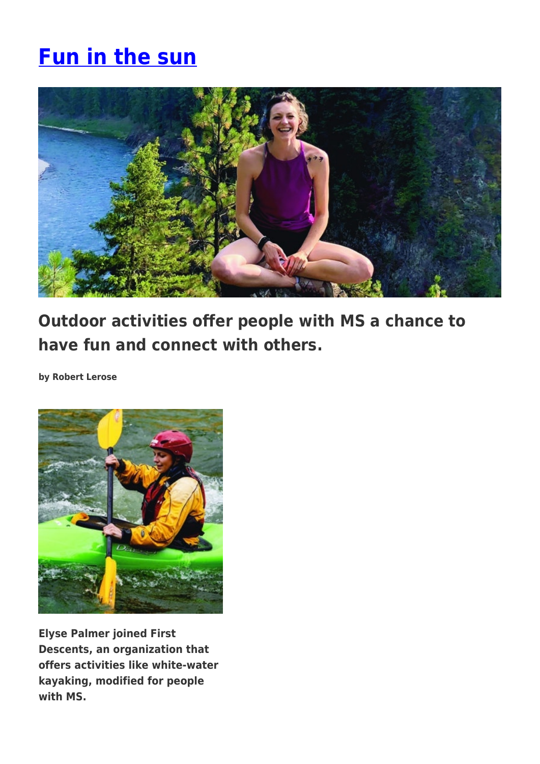# **[Fun in the sun](https://momentummagazineonline.com/fun-in-the-sun/)**



**Outdoor activities offer people with MS a chance to have fun and connect with others.**

**by Robert Lerose**



**Elyse Palmer joined First Descents, an organization that offers activities like white-water kayaking, modified for people with MS.**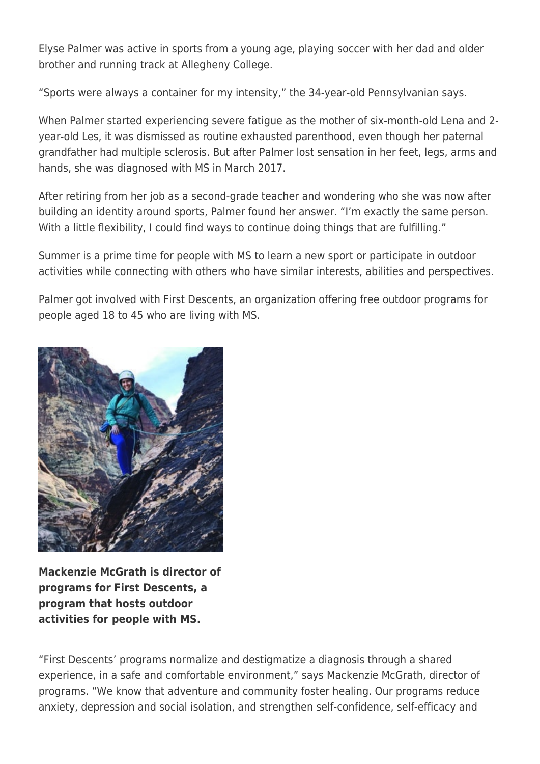Elyse Palmer was active in sports from a young age, playing soccer with her dad and older brother and running track at Allegheny College.

"Sports were always a container for my intensity," the 34-year-old Pennsylvanian says.

When Palmer started experiencing severe fatigue as the mother of six-month-old Lena and 2 year-old Les, it was dismissed as routine exhausted parenthood, even though her paternal grandfather had multiple sclerosis. But after Palmer lost sensation in her feet, legs, arms and hands, she was diagnosed with MS in March 2017.

After retiring from her job as a second-grade teacher and wondering who she was now after building an identity around sports, Palmer found her answer. "I'm exactly the same person. With a little flexibility, I could find ways to continue doing things that are fulfilling."

Summer is a prime time for people with MS to learn a new sport or participate in outdoor activities while connecting with others who have similar interests, abilities and perspectives.

Palmer got involved with First Descents, an organization offering free outdoor programs for people aged 18 to 45 who are living with MS.



**Mackenzie McGrath is director of programs for First Descents, a program that hosts outdoor activities for people with MS.**

"First Descents' programs normalize and destigmatize a diagnosis through a shared experience, in a safe and comfortable environment," says Mackenzie McGrath, director of programs. "We know that adventure and community foster healing. Our programs reduce anxiety, depression and social isolation, and strengthen self-confidence, self-efficacy and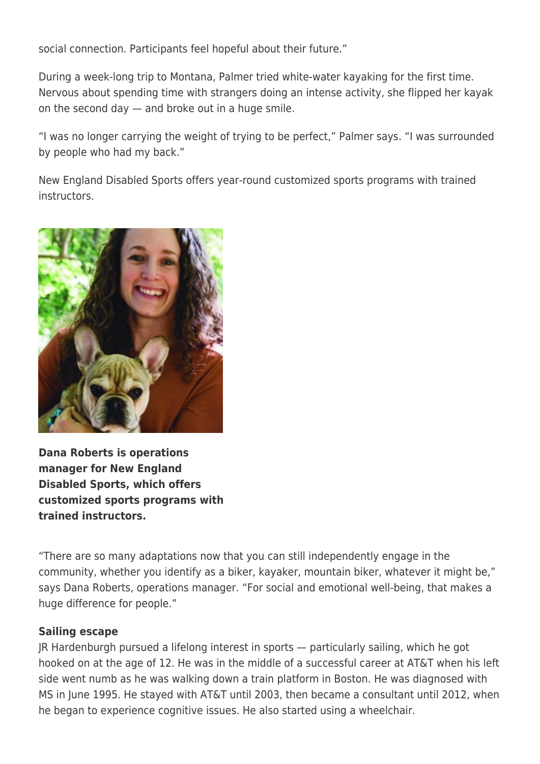social connection. Participants feel hopeful about their future."

During a week-long trip to Montana, Palmer tried white-water kayaking for the first time. Nervous about spending time with strangers doing an intense activity, she flipped her kayak on the second day — and broke out in a huge smile.

"I was no longer carrying the weight of trying to be perfect," Palmer says. "I was surrounded by people who had my back."

New England Disabled Sports offers year-round customized sports programs with trained instructors.



**Dana Roberts is operations manager for New England Disabled Sports, which offers customized sports programs with trained instructors.**

"There are so many adaptations now that you can still independently engage in the community, whether you identify as a biker, kayaker, mountain biker, whatever it might be," says Dana Roberts, operations manager. "For social and emotional well-being, that makes a huge difference for people."

### **Sailing escape**

JR Hardenburgh pursued a lifelong interest in sports — particularly sailing, which he got hooked on at the age of 12. He was in the middle of a successful career at AT&T when his left side went numb as he was walking down a train platform in Boston. He was diagnosed with MS in June 1995. He stayed with AT&T until 2003, then became a consultant until 2012, when he began to experience cognitive issues. He also started using a wheelchair.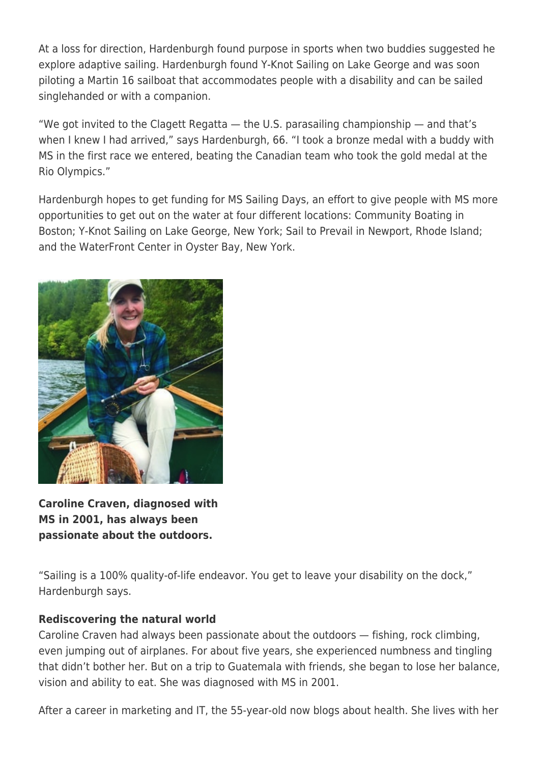At a loss for direction, Hardenburgh found purpose in sports when two buddies suggested he explore adaptive sailing. Hardenburgh found Y-Knot Sailing on Lake George and was soon piloting a Martin 16 sailboat that accommodates people with a disability and can be sailed singlehanded or with a companion.

"We got invited to the Clagett Regatta  $-$  the U.S. parasailing championship  $-$  and that's when I knew I had arrived," says Hardenburgh, 66. "I took a bronze medal with a buddy with MS in the first race we entered, beating the Canadian team who took the gold medal at the Rio Olympics."

Hardenburgh hopes to get funding for MS Sailing Days, an effort to give people with MS more opportunities to get out on the water at four different locations: Community Boating in Boston; Y-Knot Sailing on Lake George, New York; Sail to Prevail in Newport, Rhode Island; and the WaterFront Center in Oyster Bay, New York.



**Caroline Craven, diagnosed with MS in 2001, has always been passionate about the outdoors.**

"Sailing is a 100% quality-of-life endeavor. You get to leave your disability on the dock," Hardenburgh says.

### **Rediscovering the natural world**

Caroline Craven had always been passionate about the outdoors — fishing, rock climbing, even jumping out of airplanes. For about five years, she experienced numbness and tingling that didn't bother her. But on a trip to Guatemala with friends, she began to lose her balance, vision and ability to eat. She was diagnosed with MS in 2001.

After a career in marketing and IT, the 55-year-old now blogs about health. She lives with her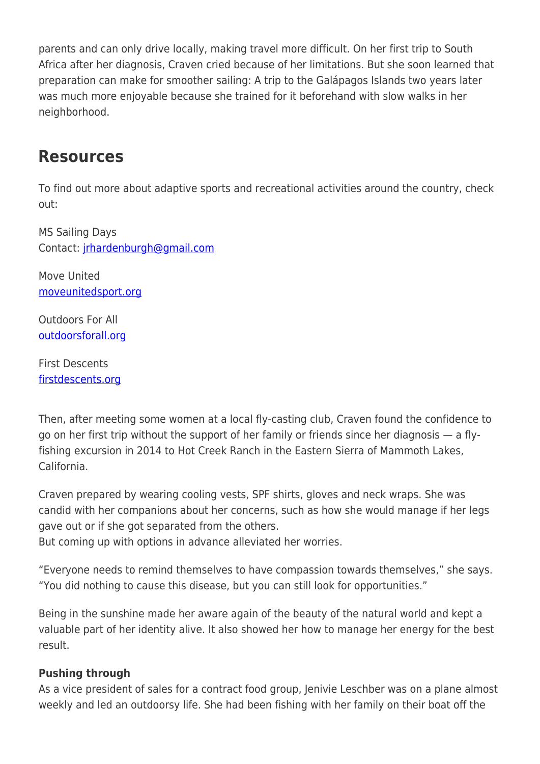parents and can only drive locally, making travel more difficult. On her first trip to South Africa after her diagnosis, Craven cried because of her limitations. But she soon learned that preparation can make for smoother sailing: A trip to the Galápagos Islands two years later was much more enjoyable because she trained for it beforehand with slow walks in her neighborhood.

## **Resources**

To find out more about adaptive sports and recreational activities around the country, check out:

MS Sailing Days Contact: [jrhardenburgh@gmail.com](mailto:jrhardenburgh@gmail.com)

Move United [moveunitedsport.org](https://moveunitedsport.org/)

Outdoors For All [outdoorsforall.org](https://outdoorsforall.org/)

First Descents [firstdescents.org](https://firstdescents.org/)

Then, after meeting some women at a local fly-casting club, Craven found the confidence to go on her first trip without the support of her family or friends since her diagnosis — a flyfishing excursion in 2014 to Hot Creek Ranch in the Eastern Sierra of Mammoth Lakes, California.

Craven prepared by wearing cooling vests, SPF shirts, gloves and neck wraps. She was candid with her companions about her concerns, such as how she would manage if her legs gave out or if she got separated from the others.

But coming up with options in advance alleviated her worries.

"Everyone needs to remind themselves to have compassion towards themselves," she says. "You did nothing to cause this disease, but you can still look for opportunities."

Being in the sunshine made her aware again of the beauty of the natural world and kept a valuable part of her identity alive. It also showed her how to manage her energy for the best result.

### **Pushing through**

As a vice president of sales for a contract food group, Jenivie Leschber was on a plane almost weekly and led an outdoorsy life. She had been fishing with her family on their boat off the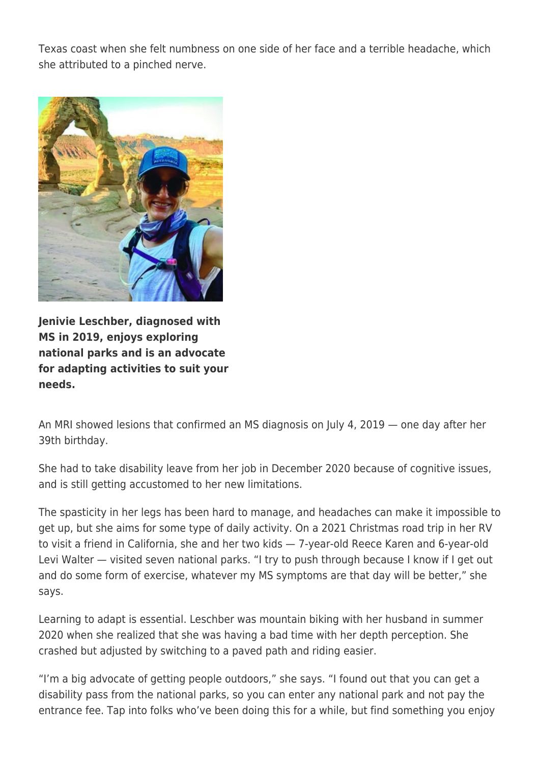Texas coast when she felt numbness on one side of her face and a terrible headache, which she attributed to a pinched nerve.



**Jenivie Leschber, diagnosed with MS in 2019, enjoys exploring national parks and is an advocate for adapting activities to suit your needs.**

An MRI showed lesions that confirmed an MS diagnosis on July 4, 2019 — one day after her 39th birthday.

She had to take disability leave from her job in December 2020 because of cognitive issues, and is still getting accustomed to her new limitations.

The spasticity in her legs has been hard to manage, and headaches can make it impossible to get up, but she aims for some type of daily activity. On a 2021 Christmas road trip in her RV to visit a friend in California, she and her two kids — 7-year-old Reece Karen and 6-year-old Levi Walter — visited seven national parks. "I try to push through because I know if I get out and do some form of exercise, whatever my MS symptoms are that day will be better," she says.

Learning to adapt is essential. Leschber was mountain biking with her husband in summer 2020 when she realized that she was having a bad time with her depth perception. She crashed but adjusted by switching to a paved path and riding easier.

"I'm a big advocate of getting people outdoors," she says. "I found out that you can get a disability pass from the national parks, so you can enter any national park and not pay the entrance fee. Tap into folks who've been doing this for a while, but find something you enjoy